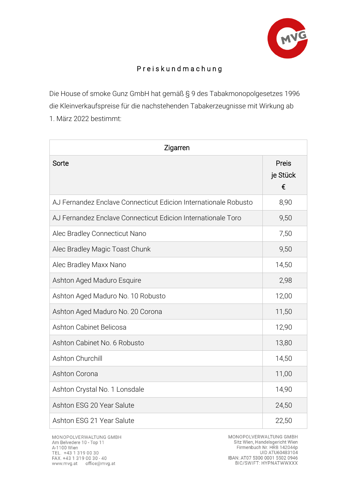

## P r e i s k u n d m a c h u n g

Die House of smoke Gunz GmbH hat gemäß § 9 des Tabakmonopolgesetzes 1996 die Kleinverkaufspreise für die nachstehenden Tabakerzeugnisse mit Wirkung ab 1. März 2022 bestimmt:

| Zigarren                                                        |                        |  |
|-----------------------------------------------------------------|------------------------|--|
| Sorte                                                           | Preis<br>je Stück<br>€ |  |
| AJ Fernandez Enclave Connecticut Edicion Internationale Robusto | 8,90                   |  |
| AJ Fernandez Enclave Connecticut Edicion Internationale Toro    | 9,50                   |  |
| Alec Bradley Connecticut Nano                                   | 7,50                   |  |
| Alec Bradley Magic Toast Chunk                                  | 9,50                   |  |
| Alec Bradley Maxx Nano                                          | 14,50                  |  |
| Ashton Aged Maduro Esquire                                      | 2,98                   |  |
| Ashton Aged Maduro No. 10 Robusto                               | 12,00                  |  |
| Ashton Aged Maduro No. 20 Corona                                | 11,50                  |  |
| Ashton Cabinet Belicosa                                         | 12,90                  |  |
| Ashton Cabinet No. 6 Robusto                                    | 13,80                  |  |
| Ashton Churchill                                                | 14,50                  |  |
| Ashton Corona                                                   | 11,00                  |  |
| Ashton Crystal No. 1 Lonsdale                                   | 14,90                  |  |
| Ashton ESG 20 Year Salute                                       | 24,50                  |  |
| Ashton ESG 21 Year Salute                                       | 22,50                  |  |

MONOPOLVERWALTUNG GMBH Sitz Wien, Handelsgericht Wien Firmenbuch Nr. HRB 142044p UID ATU60483104 IBAN: AT07 5300 0001 5502 0946<br>BIC/SWIFT: HYPNATWWXXX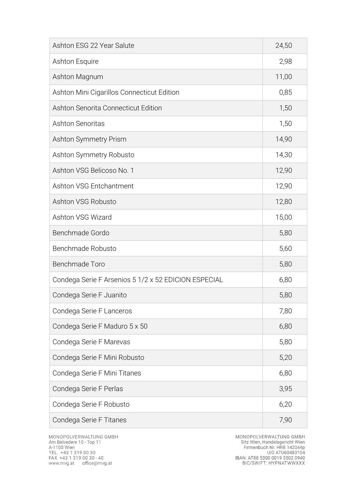| Ashton ESG 22 Year Salute                            | 24,50 |
|------------------------------------------------------|-------|
| Ashton Esquire                                       | 2,98  |
| Ashton Magnum                                        | 11,00 |
| Ashton Mini Cigarillos Connecticut Edition           | 0,85  |
| Ashton Senorita Connecticut Edition                  | 1,50  |
| <b>Ashton Senoritas</b>                              | 1,50  |
| Ashton Symmetry Prism                                | 14,90 |
| Ashton Symmetry Robusto                              | 14,30 |
| Ashton VSG Belicoso No. 1                            | 12,90 |
| Ashton VSG Entchantment                              | 12,90 |
| Ashton VSG Robusto                                   | 12,80 |
| Ashton VSG Wizard                                    | 15,00 |
| Benchmade Gordo                                      | 5,80  |
| Benchmade Robusto                                    | 5,60  |
| Benchmade Toro                                       | 5,80  |
| Condega Serie F Arsenios 5 1/2 x 52 EDICION ESPECIAL | 6,80  |
| Condega Serie F Juanito                              | 5,80  |
| Condega Serie F Lanceros                             | 7,80  |
| Condega Serie F Maduro 5 x 50                        | 6,80  |
| Condega Serie F Marevas                              | 5,80  |
| Condega Serie F Mini Robusto                         | 5,20  |
| Condega Serie F Mini Titanes                         | 6,80  |
| Condega Serie F Perlas                               | 3,95  |
| Condega Serie F Robusto                              | 6,20  |
| Condega Serie F Titanes                              | 7,90  |

MONOPOLVERWALTUNG GMBH<br>Sitz Wien, Handelsgericht Wien<br>Firmenbuch Nr. HRB 142044p<br>UID ATU60483104<br>IBAN: AT88 5300 0019 5502 0940<br>BIC/SWIFT: HYPNATWWXXX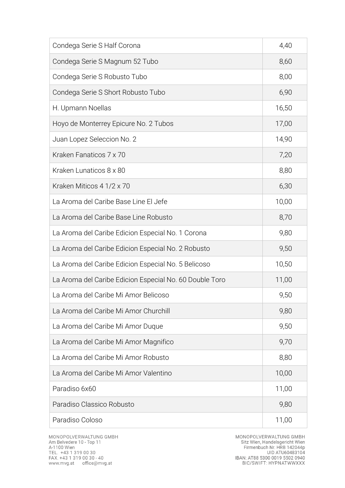| Condega Serie S Half Corona                             | 4,40  |
|---------------------------------------------------------|-------|
| Condega Serie S Magnum 52 Tubo                          | 8,60  |
| Condega Serie S Robusto Tubo                            | 8,00  |
| Condega Serie S Short Robusto Tubo                      | 6,90  |
| H. Upmann Noellas                                       | 16,50 |
| Hoyo de Monterrey Epicure No. 2 Tubos                   | 17,00 |
| Juan Lopez Seleccion No. 2                              | 14,90 |
| Kraken Fanaticos 7 x 70                                 | 7,20  |
| Kraken Lunaticos 8 x 80                                 | 8,80  |
| Kraken Miticos 4 1/2 x 70                               | 6,30  |
| La Aroma del Caribe Base Line El Jefe                   | 10,00 |
| La Aroma del Caribe Base Line Robusto                   | 8,70  |
| La Aroma del Caribe Edicion Especial No. 1 Corona       | 9,80  |
| La Aroma del Caribe Edicion Especial No. 2 Robusto      | 9,50  |
| La Aroma del Caribe Edicion Especial No. 5 Belicoso     | 10,50 |
| La Aroma del Caribe Edicion Especial No. 60 Double Toro | 11,00 |
| La Aroma del Caribe Mi Amor Belicoso                    | 9,50  |
| La Aroma del Caribe Mi Amor Churchill                   | 9,80  |
| La Aroma del Caribe Mi Amor Duque                       | 9,50  |
| La Aroma del Caribe Mi Amor Magnifico                   | 9,70  |
| La Aroma del Caribe Mi Amor Robusto                     | 8,80  |
| La Aroma del Caribe Mi Amor Valentino                   | 10,00 |
| Paradiso 6x60                                           | 11,00 |
| Paradiso Classico Robusto                               | 9,80  |
| Paradiso Coloso                                         | 11,00 |

MONOPOLVERWALTUNG GMBH<br>Sitz Wien, Handelsgericht Wien<br>Firmenbuch Nr. HRB 142044p<br>UID ATU60483104<br>IBAN: AT88 5300 0019 5502 0940<br>BIC/SWIFT: HYPNATWWXXX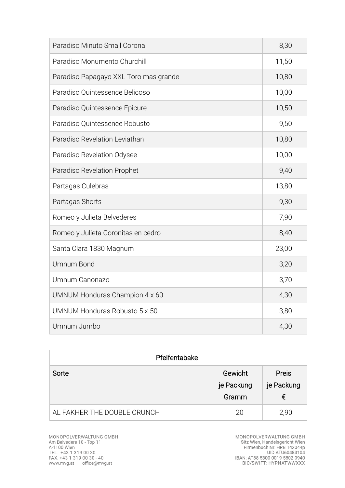| Paradiso Minuto Small Corona          | 8,30  |
|---------------------------------------|-------|
| Paradiso Monumento Churchill          | 11,50 |
| Paradiso Papagayo XXL Toro mas grande | 10,80 |
| Paradiso Quintessence Belicoso        | 10,00 |
| Paradiso Quintessence Epicure         | 10,50 |
| Paradiso Quintessence Robusto         | 9,50  |
| Paradiso Revelation Leviathan         | 10,80 |
| Paradiso Revelation Odysee            | 10,00 |
| Paradiso Revelation Prophet           | 9,40  |
| Partagas Culebras                     | 13,80 |
| Partagas Shorts                       | 9,30  |
| Romeo y Julieta Belvederes            | 7,90  |
| Romeo y Julieta Coronitas en cedro    | 8,40  |
| Santa Clara 1830 Magnum               | 23,00 |
| <b>Umnum Bond</b>                     | 3,20  |
| Umnum Canonazo                        | 3,70  |
| UMNUM Honduras Champion 4 x 60        | 4,30  |
| UMNUM Honduras Robusto 5 x 50         | 3,80  |
| Umnum Jumbo                           | 4,30  |

| Pfeifentabake               |                                |                                 |
|-----------------------------|--------------------------------|---------------------------------|
| Sorte                       | Gewicht<br>je Packung<br>Gramm | <b>Preis</b><br>je Packung<br>€ |
| AL FAKHER THE DOUBLE CRUNCH | 20                             | 2,90                            |

MONOPOLVERWALTUNG GMBH<br>Sitz Wien, Handelsgericht Wien<br>Firmenbuch Nr. HRB 142044p<br>UID ATU60483104<br>IBAN: AT88 5300 0019 5502 0940<br>BIC/SWIFT: HYPNATWWXXX